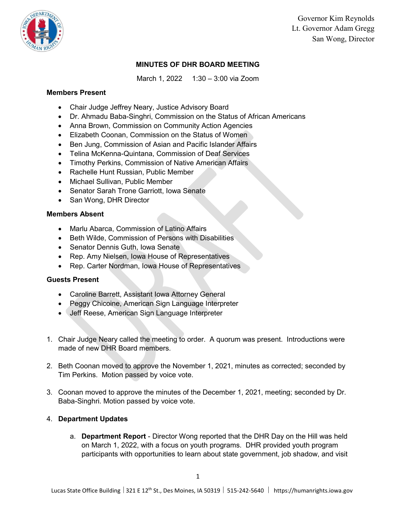

Governor Kim Reynolds Lt. Governor Adam Gregg San Wong, Director

# **MINUTES OF DHR BOARD MEETING**

March 1, 2022 1:30 – 3:00 via Zoom

## **Members Present**

- Chair Judge Jeffrey Neary, Justice Advisory Board
- Dr. Ahmadu Baba-Singhri, Commission on the Status of African Americans
- Anna Brown, Commission on Community Action Agencies
- Elizabeth Coonan, Commission on the Status of Women
- Ben Jung, Commission of Asian and Pacific Islander Affairs
- Telina McKenna-Quintana, Commission of Deaf Services
- Timothy Perkins, Commission of Native American Affairs
- Rachelle Hunt Russian, Public Member
- Michael Sullivan, Public Member
- Senator Sarah Trone Garriott, Iowa Senate
- San Wong, DHR Director

## **Members Absent**

- Marlu Abarca, Commission of Latino Affairs
- Beth Wilde, Commission of Persons with Disabilities
- Senator Dennis Guth, Iowa Senate
- Rep. Amy Nielsen, Iowa House of Representatives
- Rep. Carter Nordman, Iowa House of Representatives

## **Guests Present**

- Caroline Barrett, Assistant Iowa Attorney General
- Peggy Chicoine, American Sign Language Interpreter
- Jeff Reese, American Sign Language Interpreter
- 1. Chair Judge Neary called the meeting to order. A quorum was present. Introductions were made of new DHR Board members.
- 2. Beth Coonan moved to approve the November 1, 2021, minutes as corrected; seconded by Tim Perkins. Motion passed by voice vote.
- 3. Coonan moved to approve the minutes of the December 1, 2021, meeting; seconded by Dr. Baba-Singhri. Motion passed by voice vote.

## 4. **Department Updates**

a. **Department Report** - Director Wong reported that the DHR Day on the Hill was held on March 1, 2022, with a focus on youth programs. DHR provided youth program participants with opportunities to learn about state government, job shadow, and visit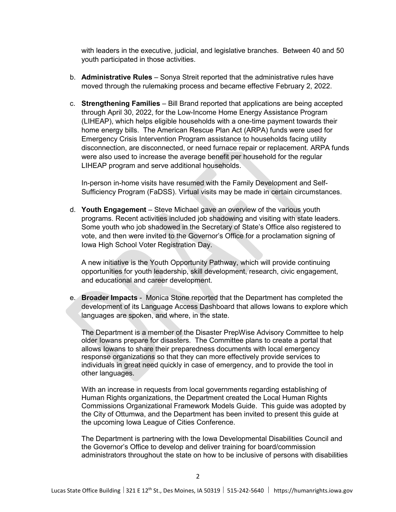with leaders in the executive, judicial, and legislative branches. Between 40 and 50 youth participated in those activities.

- b. **Administrative Rules** Sonya Streit reported that the administrative rules have moved through the rulemaking process and became effective February 2, 2022.
- c. **Strengthening Families** Bill Brand reported that applications are being accepted through April 30, 2022, for the Low-Income Home Energy Assistance Program (LIHEAP), which helps eligible households with a one-time payment towards their home energy bills. The American Rescue Plan Act (ARPA) funds were used for Emergency Crisis Intervention Program assistance to households facing utility disconnection, are disconnected, or need furnace repair or replacement. ARPA funds were also used to increase the average benefit per household for the regular LIHEAP program and serve additional households.

In-person in-home visits have resumed with the Family Development and Self-Sufficiency Program (FaDSS). Virtual visits may be made in certain circumstances.

d. **Youth Engagement** – Steve Michael gave an overview of the various youth programs. Recent activities included job shadowing and visiting with state leaders. Some youth who job shadowed in the Secretary of State's Office also registered to vote, and then were invited to the Governor's Office for a proclamation signing of Iowa High School Voter Registration Day.

A new initiative is the Youth Opportunity Pathway, which will provide continuing opportunities for youth leadership, skill development, research, civic engagement, and educational and career development.

e. **Broader Impacts** - Monica Stone reported that the Department has completed the development of its Language Access Dashboard that allows Iowans to explore which languages are spoken, and where, in the state.

The Department is a member of the Disaster PrepWise Advisory Committee to help older Iowans prepare for disasters. The Committee plans to create a portal that allows Iowans to share their preparedness documents with local emergency response organizations so that they can more effectively provide services to individuals in great need quickly in case of emergency, and to provide the tool in other languages.

With an increase in requests from local governments regarding establishing of Human Rights organizations, the Department created the Local Human Rights Commissions Organizational Framework Models Guide. This guide was adopted by the City of Ottumwa, and the Department has been invited to present this guide at the upcoming Iowa League of Cities Conference.

The Department is partnering with the Iowa Developmental Disabilities Council and the Governor's Office to develop and deliver training for board/commission administrators throughout the state on how to be inclusive of persons with disabilities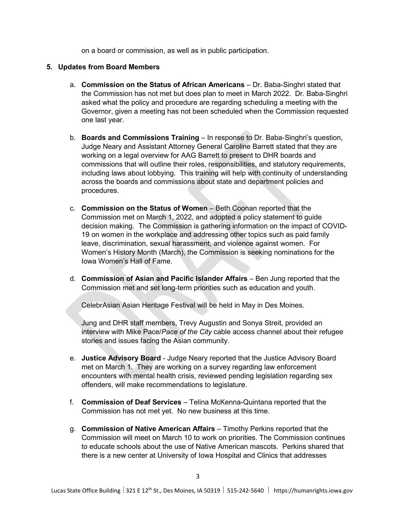on a board or commission, as well as in public participation.

### **5. Updates from Board Members**

- a. **Commission on the Status of African Americans** Dr. Baba-Singhri stated that the Commission has not met but does plan to meet in March 2022. Dr. Baba-Singhri asked what the policy and procedure are regarding scheduling a meeting with the Governor, given a meeting has not been scheduled when the Commission requested one last year.
- b. **Boards and Commissions Training**  In response to Dr. Baba-Singhri's question, Judge Neary and Assistant Attorney General Caroline Barrett stated that they are working on a legal overview for AAG Barrett to present to DHR boards and commissions that will outline their roles, responsibilities, and statutory requirements, including laws about lobbying. This training will help with continuity of understanding across the boards and commissions about state and department policies and procedures.
- c. **Commission on the Status of Women** Beth Coonan reported that the Commission met on March 1, 2022, and adopted a policy statement to guide decision making. The Commission is gathering information on the impact of COVID-19 on women in the workplace and addressing other topics such as paid family leave, discrimination, sexual harassment, and violence against women. For Women's History Month (March), the Commission is seeking nominations for the Iowa Women's Hall of Fame.
- d. **Commission of Asian and Pacific Islander Affairs** Ben Jung reported that the Commission met and set long-term priorities such as education and youth.

CelebrAsian Asian Heritage Festival will be held in May in Des Moines.

Jung and DHR staff members, Trevy Augustin and Sonya Streit, provided an interview with Mike Pace/*Pace of the City* cable access channel about their refugee stories and issues facing the Asian community.

- e. **Justice Advisory Board** Judge Neary reported that the Justice Advisory Board met on March 1. They are working on a survey regarding law enforcement encounters with mental health crisis, reviewed pending legislation regarding sex offenders, will make recommendations to legislature.
- f. **Commission of Deaf Services** Telina McKenna-Quintana reported that the Commission has not met yet. No new business at this time.
- g. **Commission of Native American Affairs** Timothy Perkins reported that the Commission will meet on March 10 to work on priorities. The Commission continues to educate schools about the use of Native American mascots. Perkins shared that there is a new center at University of Iowa Hospital and Clinics that addresses